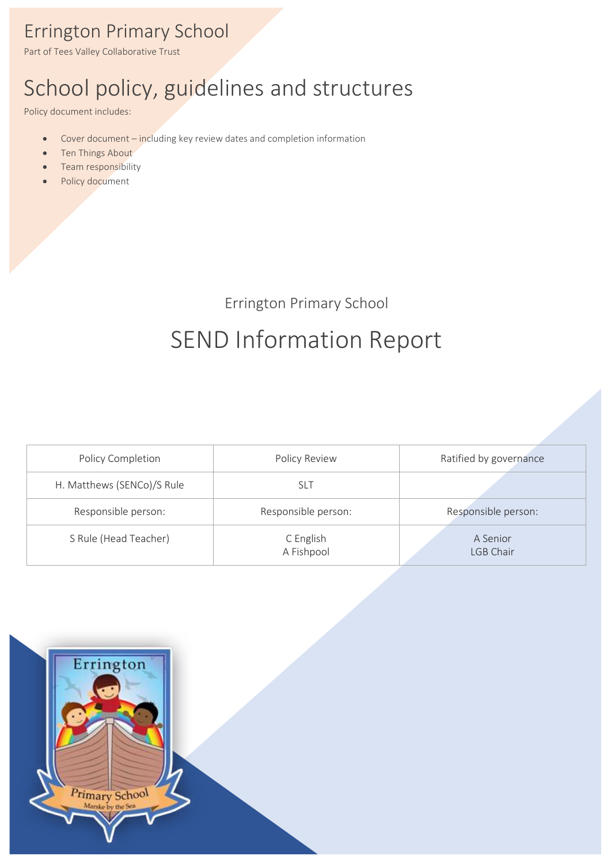# Errington Primary School

Part of Tees Valley Collaborative Trust

# School policy, guidelines and structures

Policy document includes:

- Cover document including key review dates and completion information
- Ten Things About
- Team responsibility
- Policy document

Errington Primary School

# SEND Information Report

| Policy Completion          | Policy Review           | Ratified by governance |  |
|----------------------------|-------------------------|------------------------|--|
| H. Matthews (SENCo)/S Rule | slt                     |                        |  |
| Responsible person:        | Responsible person:     | Responsible person:    |  |
| S Rule (Head Teacher)      | C English<br>A Fishpool | A Senior<br>LGB Chair  |  |

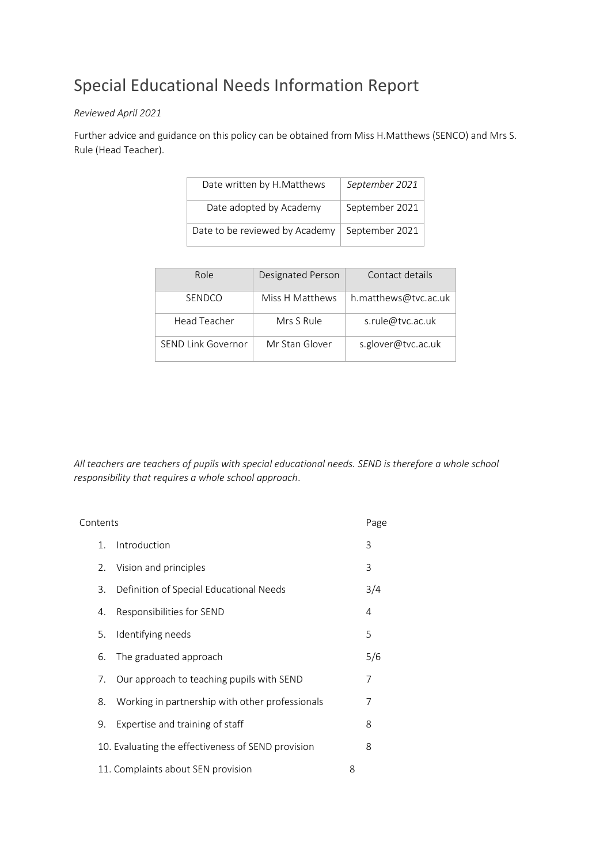# Special Educational Needs Information Report

#### *Reviewed April 2021*

Further advice and guidance on this policy can be obtained from Miss H.Matthews (SENCO) and Mrs S. Rule (Head Teacher).

| Date written by H.Matthews     | September 2021 |  |  |
|--------------------------------|----------------|--|--|
| Date adopted by Academy        | September 2021 |  |  |
| Date to be reviewed by Academy | September 2021 |  |  |

| Role               | Designated Person | Contact details<br>h.matthews@tvc.ac.uk |  |  |
|--------------------|-------------------|-----------------------------------------|--|--|
| <b>SENDCO</b>      | Miss H Matthews   |                                         |  |  |
| Head Teacher       | Mrs S Rule        | s.rule@tvc.ac.uk                        |  |  |
| SEND Link Governor | Mr Stan Glover    | s.glover@tvc.ac.uk                      |  |  |

*All teachers are teachers of pupils with special educational needs. SEND is therefore a whole school responsibility that requires a whole school approach*.

| Contents |                |                                                    |   | Page |
|----------|----------------|----------------------------------------------------|---|------|
|          | $\mathbf{1}$ . | Introduction                                       |   | 3    |
|          | 2.             | Vision and principles                              |   | 3    |
|          | 3.             | Definition of Special Educational Needs            |   | 3/4  |
|          | 4.             | Responsibilities for SEND                          |   | 4    |
|          | 5.             | Identifying needs                                  |   | 5    |
|          | 6.             | The graduated approach                             |   | 5/6  |
|          | 7.             | Our approach to teaching pupils with SEND          |   | 7    |
|          | 8.             | Working in partnership with other professionals    |   | 7    |
|          | 9.             | Expertise and training of staff                    |   | 8    |
|          |                | 10. Evaluating the effectiveness of SEND provision |   | 8    |
|          |                | 11. Complaints about SEN provision                 | 8 |      |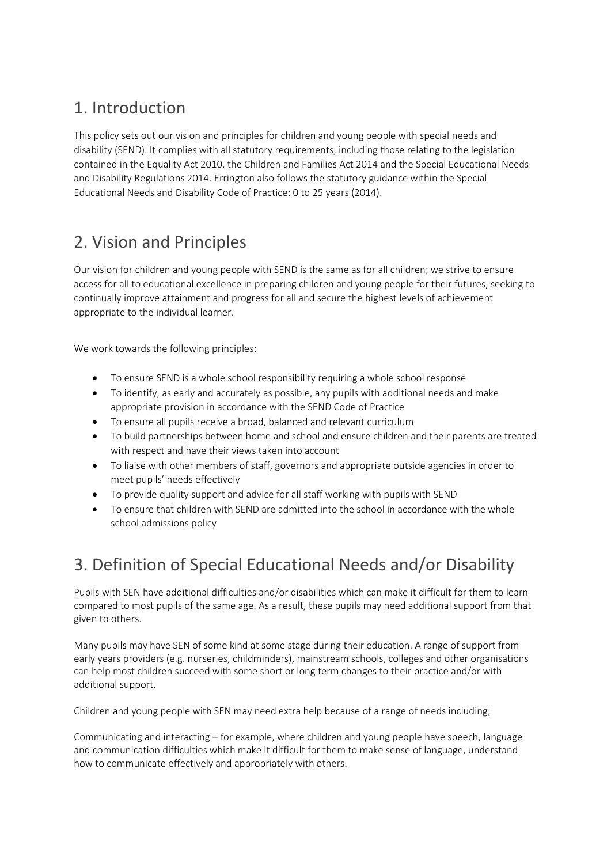# 1. Introduction

This policy sets out our vision and principles for children and young people with special needs and disability (SEND). It complies with all statutory requirements, including those relating to the legislation contained in the Equality Act 2010, the Children and Families Act 2014 and the Special Educational Needs and Disability Regulations 2014. Errington also follows the statutory guidance within the Special Educational Needs and Disability Code of Practice: 0 to 25 years (2014).

### 2. Vision and Principles

Our vision for children and young people with SEND is the same as for all children; we strive to ensure access for all to educational excellence in preparing children and young people for their futures, seeking to continually improve attainment and progress for all and secure the highest levels of achievement appropriate to the individual learner.

We work towards the following principles:

- To ensure SEND is a whole school responsibility requiring a whole school response
- To identify, as early and accurately as possible, any pupils with additional needs and make appropriate provision in accordance with the SEND Code of Practice
- To ensure all pupils receive a broad, balanced and relevant curriculum
- To build partnerships between home and school and ensure children and their parents are treated with respect and have their views taken into account
- To liaise with other members of staff, governors and appropriate outside agencies in order to meet pupils' needs effectively
- To provide quality support and advice for all staff working with pupils with SEND
- To ensure that children with SEND are admitted into the school in accordance with the whole school admissions policy

# 3. Definition of Special Educational Needs and/or Disability

Pupils with SEN have additional difficulties and/or disabilities which can make it difficult for them to learn compared to most pupils of the same age. As a result, these pupils may need additional support from that given to others.

Many pupils may have SEN of some kind at some stage during their education. A range of support from early years providers (e.g. nurseries, childminders), mainstream schools, colleges and other organisations can help most children succeed with some short or long term changes to their practice and/or with additional support.

Children and young people with SEN may need extra help because of a range of needs including;

Communicating and interacting – for example, where children and young people have speech, language and communication difficulties which make it difficult for them to make sense of language, understand how to communicate effectively and appropriately with others.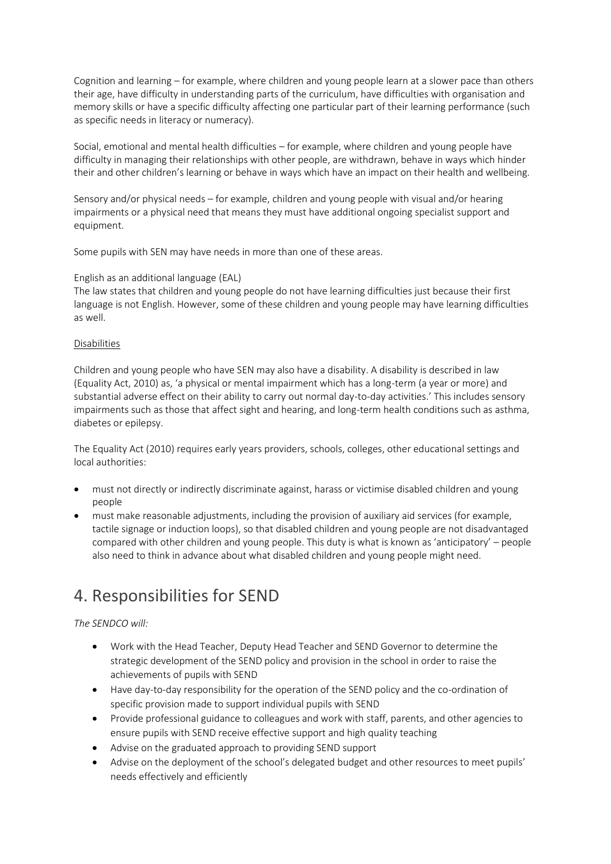Cognition and learning – for example, where children and young people learn at a slower pace than others their age, have difficulty in understanding parts of the curriculum, have difficulties with organisation and memory skills or have a specific difficulty affecting one particular part of their learning performance (such as specific needs in literacy or numeracy).

Social, emotional and mental health difficulties – for example, where children and young people have difficulty in managing their relationships with other people, are withdrawn, behave in ways which hinder their and other children's learning or behave in ways which have an impact on their health and wellbeing.

Sensory and/or physical needs – for example, children and young people with visual and/or hearing impairments or a physical need that means they must have additional ongoing specialist support and equipment.

Some pupils with SEN may have needs in more than one of these areas.

#### English as an additional language (EAL)

The law states that children and young people do not have learning difficulties just because their first language is not English. However, some of these children and young people may have learning difficulties as well.

#### Disabilities

Children and young people who have SEN may also have a disability. A disability is described in law (Equality Act, 2010) as, 'a physical or mental impairment which has a long-term (a year or more) and substantial adverse effect on their ability to carry out normal day-to-day activities.' This includes sensory impairments such as those that affect sight and hearing, and long-term health conditions such as asthma, diabetes or epilepsy.

The Equality Act (2010) requires early years providers, schools, colleges, other educational settings and local authorities:

- must not directly or indirectly discriminate against, harass or victimise disabled children and young people
- must make reasonable adjustments, including the provision of auxiliary aid services (for example, tactile signage or induction loops), so that disabled children and young people are not disadvantaged compared with other children and young people. This duty is what is known as 'anticipatory' – people also need to think in advance about what disabled children and young people might need.

### 4. Responsibilities for SEND

#### *The SENDCO will:*

- Work with the Head Teacher, Deputy Head Teacher and SEND Governor to determine the strategic development of the SEND policy and provision in the school in order to raise the achievements of pupils with SEND
- Have day-to-day responsibility for the operation of the SEND policy and the co-ordination of specific provision made to support individual pupils with SEND
- Provide professional guidance to colleagues and work with staff, parents, and other agencies to ensure pupils with SEND receive effective support and high quality teaching
- Advise on the graduated approach to providing SEND support
- Advise on the deployment of the school's delegated budget and other resources to meet pupils' needs effectively and efficiently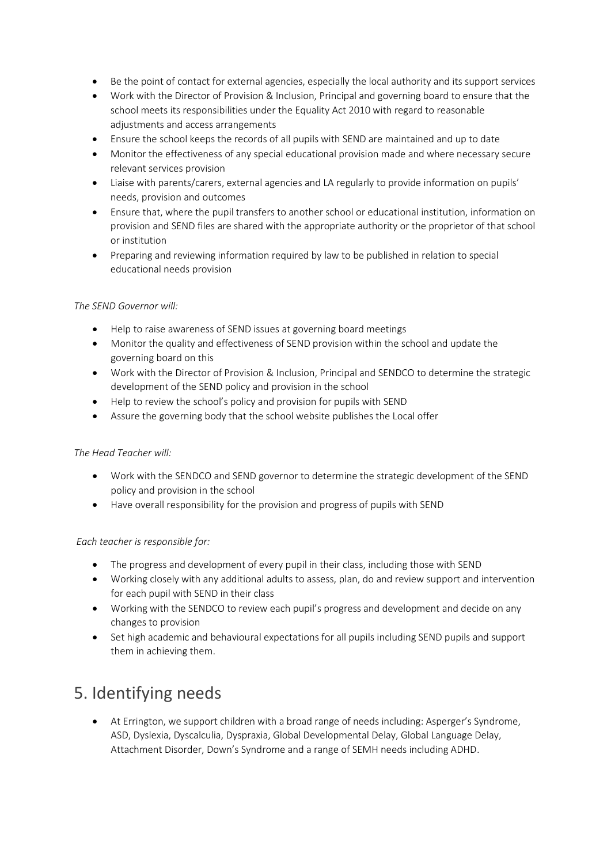- Be the point of contact for external agencies, especially the local authority and its support services
- Work with the Director of Provision & Inclusion, Principal and governing board to ensure that the school meets its responsibilities under the Equality Act 2010 with regard to reasonable adjustments and access arrangements
- Ensure the school keeps the records of all pupils with SEND are maintained and up to date
- Monitor the effectiveness of any special educational provision made and where necessary secure relevant services provision
- Liaise with parents/carers, external agencies and LA regularly to provide information on pupils' needs, provision and outcomes
- Ensure that, where the pupil transfers to another school or educational institution, information on provision and SEND files are shared with the appropriate authority or the proprietor of that school or institution
- Preparing and reviewing information required by law to be published in relation to special educational needs provision

#### *The SEND Governor will:*

- Help to raise awareness of SEND issues at governing board meetings
- Monitor the quality and effectiveness of SEND provision within the school and update the governing board on this
- Work with the Director of Provision & Inclusion, Principal and SENDCO to determine the strategic development of the SEND policy and provision in the school
- Help to review the school's policy and provision for pupils with SEND
- Assure the governing body that the school website publishes the Local offer

#### *The Head Teacher will:*

- Work with the SENDCO and SEND governor to determine the strategic development of the SEND policy and provision in the school
- Have overall responsibility for the provision and progress of pupils with SEND

#### *Each teacher is responsible for:*

- The progress and development of every pupil in their class, including those with SEND
- Working closely with any additional adults to assess, plan, do and review support and intervention for each pupil with SEND in their class
- Working with the SENDCO to review each pupil's progress and development and decide on any changes to provision
- Set high academic and behavioural expectations for all pupils including SEND pupils and support them in achieving them.

### 5. Identifying needs

• At Errington, we support children with a broad range of needs including: Asperger's Syndrome, ASD, Dyslexia, Dyscalculia, Dyspraxia, Global Developmental Delay, Global Language Delay, Attachment Disorder, Down's Syndrome and a range of SEMH needs including ADHD.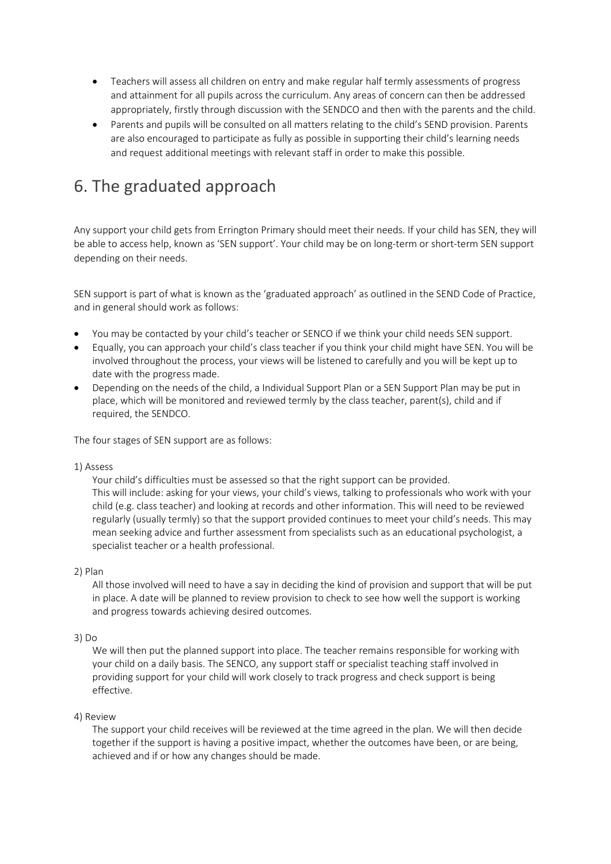- Teachers will assess all children on entry and make regular half termly assessments of progress and attainment for all pupils across the curriculum. Any areas of concern can then be addressed appropriately, firstly through discussion with the SENDCO and then with the parents and the child.
- Parents and pupils will be consulted on all matters relating to the child's SEND provision. Parents are also encouraged to participate as fully as possible in supporting their child's learning needs and request additional meetings with relevant staff in order to make this possible.

## 6. The graduated approach

Any support your child gets from Errington Primary should meet their needs. If your child has SEN, they will be able to access help, known as 'SEN support'. Your child may be on long-term or short-term SEN support depending on their needs.

SEN support is part of what is known as the 'graduated approach' as outlined in the SEND Code of Practice, and in general should work as follows:

- You may be contacted by your child's teacher or SENCO if we think your child needs SEN support.
- Equally, you can approach your child's class teacher if you think your child might have SEN. You will be involved throughout the process, your views will be listened to carefully and you will be kept up to date with the progress made.
- Depending on the needs of the child, a Individual Support Plan or a SEN Support Plan may be put in place, which will be monitored and reviewed termly by the class teacher, parent(s), child and if required, the SENDCO.

The four stages of SEN support are as follows:

#### 1) Assess

Your child's difficulties must be assessed so that the right support can be provided. This will include: asking for your views, your child's views, talking to professionals who work with your child (e.g. class teacher) and looking at records and other information. This will need to be reviewed regularly (usually termly) so that the support provided continues to meet your child's needs. This may mean seeking advice and further assessment from specialists such as an educational psychologist, a specialist teacher or a health professional.

#### 2) Plan

All those involved will need to have a say in deciding the kind of provision and support that will be put in place. A date will be planned to review provision to check to see how well the support is working and progress towards achieving desired outcomes.

#### 3) Do

We will then put the planned support into place. The teacher remains responsible for working with your child on a daily basis. The SENCO, any support staff or specialist teaching staff involved in providing support for your child will work closely to track progress and check support is being effective.

#### 4) Review

The support your child receives will be reviewed at the time agreed in the plan. We will then decide together if the support is having a positive impact, whether the outcomes have been, or are being, achieved and if or how any changes should be made.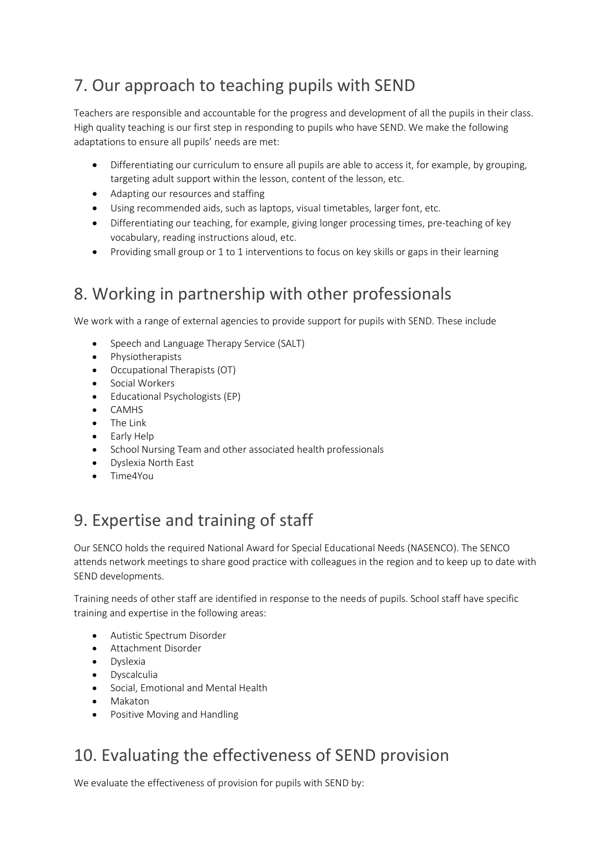# 7. Our approach to teaching pupils with SEND

Teachers are responsible and accountable for the progress and development of all the pupils in their class. High quality teaching is our first step in responding to pupils who have SEND. We make the following adaptations to ensure all pupils' needs are met:

- Differentiating our curriculum to ensure all pupils are able to access it, for example, by grouping, targeting adult support within the lesson, content of the lesson, etc.
- Adapting our resources and staffing
- Using recommended aids, such as laptops, visual timetables, larger font, etc.
- Differentiating our teaching, for example, giving longer processing times, pre-teaching of key vocabulary, reading instructions aloud, etc.
- Providing small group or 1 to 1 interventions to focus on key skills or gaps in their learning

# 8. Working in partnership with other professionals

We work with a range of external agencies to provide support for pupils with SEND. These include

- Speech and Language Therapy Service (SALT)
- Physiotherapists
- Occupational Therapists (OT)
- Social Workers
- Educational Psychologists (EP)
- CAMHS
- The Link
- Early Help
- School Nursing Team and other associated health professionals
- Dyslexia North East
- Time4You

# 9. Expertise and training of staff

Our SENCO holds the required National Award for Special Educational Needs (NASENCO). The SENCO attends network meetings to share good practice with colleagues in the region and to keep up to date with SEND developments.

Training needs of other staff are identified in response to the needs of pupils. School staff have specific training and expertise in the following areas:

- Autistic Spectrum Disorder
- Attachment Disorder
- Dyslexia
- Dyscalculia
- Social, Emotional and Mental Health
- Makaton
- Positive Moving and Handling

# 10. Evaluating the effectiveness of SEND provision

We evaluate the effectiveness of provision for pupils with SEND by: